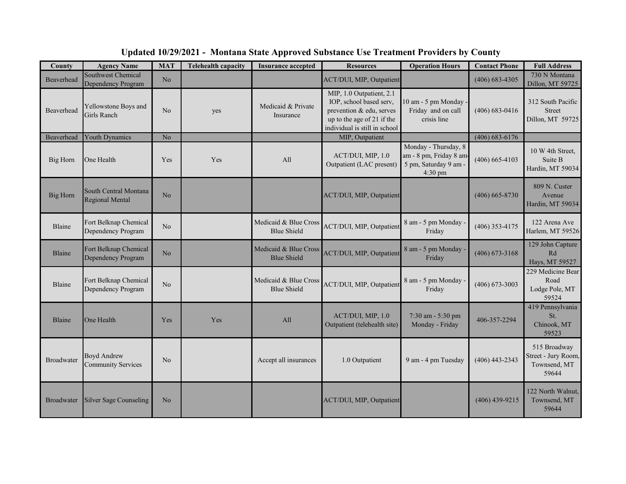| County            | <b>Agency Name</b>                              | <b>MAT</b>     | <b>Telehealth capacity</b> | <b>Insurance accepted</b>                   | <b>Resources</b>                                                                                                                               | <b>Operation Hours</b>                                                                       | <b>Contact Phone</b> | <b>Full Address</b>                                          |
|-------------------|-------------------------------------------------|----------------|----------------------------|---------------------------------------------|------------------------------------------------------------------------------------------------------------------------------------------------|----------------------------------------------------------------------------------------------|----------------------|--------------------------------------------------------------|
| Beaverhead        | Southwest Chemical<br>Dependency Program        | N <sub>o</sub> |                            |                                             | ACT/DUI, MIP, Outpatient                                                                                                                       |                                                                                              | $(406) 683 - 4305$   | 730 N Montana<br>Dillon, MT 59725                            |
| Beaverhead        | Yellowstone Boys and<br><b>Girls Ranch</b>      | N <sub>o</sub> | yes                        | Medicaid & Private<br>Insurance             | MIP, 1.0 Outpatient, 2.1<br>IOP, school based serv,<br>prevention & edu, serves<br>up to the age of 21 if the<br>individual is still in school | 10 am - 5 pm Monday ·<br>Friday and on call<br>crisis line                                   | $(406) 683 - 0416$   | 312 South Pacific<br><b>Street</b><br>Dillon, MT 59725       |
| Beaverhead        | <b>Youth Dynamics</b>                           | No             |                            |                                             | MIP, Outpatient                                                                                                                                |                                                                                              | $(406)$ 683-6176     |                                                              |
| Big Horn          | One Health                                      | Yes            | Yes                        | All                                         | ACT/DUI, MIP, 1.0<br>Outpatient (LAC present)                                                                                                  | Monday - Thursday, 8<br>am - 8 pm, Friday 8 am<br>5 pm, Saturday 9 am -<br>$4:30 \text{ pm}$ | $(406) 665 - 4103$   | 10 W 4th Street,<br>Suite B<br>Hardin, MT 59034              |
| <b>Big Horn</b>   | South Central Montana<br>Regional Mental        | N <sub>o</sub> |                            |                                             | ACT/DUI, MIP, Outpatient                                                                                                                       |                                                                                              | $(406) 665 - 8730$   | 809 N. Custer<br>Avenue<br>Hardin, MT 59034                  |
| Blaine            | Fort Belknap Chemical<br>Dependency Program     | No             |                            | Medicaid & Blue Cross<br><b>Blue Shield</b> | ACT/DUI, MIP, Outpatient                                                                                                                       | 8 am - 5 pm Monday<br>Friday                                                                 | $(406)$ 353-4175     | 122 Arena Ave<br>Harlem, MT 59526                            |
| Blaine            | Fort Belknap Chemical<br>Dependency Program     | No             |                            | Medicaid & Blue Cross<br><b>Blue Shield</b> | ACT/DUI, MIP, Outpatient                                                                                                                       | 8 am - 5 pm Monday -<br>Friday                                                               | $(406)$ 673-3168     | 129 John Capture<br>Rd<br>Hays, MT 59527                     |
| Blaine            | Fort Belknap Chemical<br>Dependency Program     | No             |                            | Medicaid & Blue Cross<br><b>Blue Shield</b> | ACT/DUI, MIP, Outpatient                                                                                                                       | 8 am - 5 pm Monday<br>Friday                                                                 | $(406)$ 673-3003     | 229 Medicine Bear<br>Road<br>Lodge Pole, MT<br>59524         |
| Blaine            | One Health                                      | <b>Yes</b>     | Yes                        | All                                         | ACT/DUI, MIP, 1.0<br>Outpatient (telehealth site)                                                                                              | 7:30 am - 5:30 pm<br>Monday - Friday                                                         | 406-357-2294         | 419 Pennsylvania<br>St.<br>Chinook, MT<br>59523              |
| <b>Broadwater</b> | <b>Boyd Andrew</b><br><b>Community Services</b> | N <sub>o</sub> |                            | Accept all insurances                       | 1.0 Outpatient                                                                                                                                 | 9 am - 4 pm Tuesday                                                                          | $(406)$ 443-2343     | 515 Broadway<br>Street - Jury Room,<br>Townsend, MT<br>59644 |
| <b>Broadwater</b> | <b>Silver Sage Counseling</b>                   | No             |                            |                                             | ACT/DUI, MIP, Outpatient                                                                                                                       |                                                                                              | $(406)$ 439-9215     | 122 North Walnut,<br>Townsend, MT<br>59644                   |

## **Updated 10/29/2021 - Montana State Approved Substance Use Treatment Providers by County**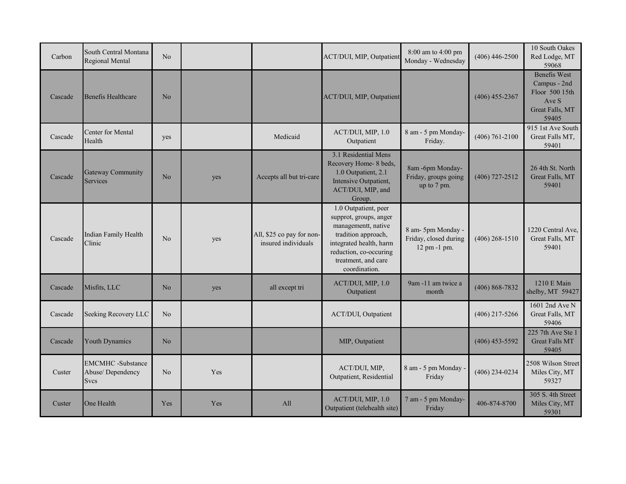| Carbon  | South Central Montana<br>Regional Mental                    | No             |     |                                                  | ACT/DUI, MIP, Outpatient                                                                                                                                                                  | 8:00 am to 4:00 pm<br>Monday - Wednesday                    | $(406)$ 446-2500   | 10 South Oakes<br>Red Lodge, MT<br>59068                                                   |
|---------|-------------------------------------------------------------|----------------|-----|--------------------------------------------------|-------------------------------------------------------------------------------------------------------------------------------------------------------------------------------------------|-------------------------------------------------------------|--------------------|--------------------------------------------------------------------------------------------|
| Cascade | <b>Benefis Healthcare</b>                                   | No             |     |                                                  | ACT/DUI, MIP, Outpatient                                                                                                                                                                  |                                                             | $(406)$ 455-2367   | <b>Benefis West</b><br>Campus - 2nd<br>Floor 500 15th<br>Ave S<br>Great Falls, MT<br>59405 |
| Cascade | Center for Mental<br>Health                                 | yes            |     | Medicaid                                         | ACT/DUI, MIP, 1.0<br>Outpatient                                                                                                                                                           | 8 am - 5 pm Monday-<br>Friday.                              | $(406) 761 - 2100$ | 915 1st Ave South<br>Great Falls MT,<br>59401                                              |
| Cascade | <b>Gateway Community</b><br>Services                        | N <sub>o</sub> | yes | Accepts all but tri-care                         | 3.1 Residential Mens<br>Recovery Home- 8 beds,<br>1.0 Outpatient, 2.1<br>Intensive Outpatient,<br>ACT/DUI, MIP, and<br>Group.                                                             | 8am -6pm Monday-<br>Friday, groups going<br>up to 7 pm.     | $(406)$ 727-2512   | 26 4th St. North<br>Great Falls, MT<br>59401                                               |
| Cascade | Indian Family Health<br>Clinic                              | N <sub>o</sub> | yes | All, \$25 co pay for non-<br>insured individuals | 1.0 Outpatient, peer<br>supprot, groups, anger<br>managementt, native<br>tradition approach,<br>integrated health, harm<br>reduction, co-occuring<br>treatment, and care<br>coordination. | 8 am- 5pm Monday -<br>Friday, closed during<br>12 pm -1 pm. | $(406)$ 268-1510   | 1220 Central Ave,<br>Great Falls, MT<br>59401                                              |
| Cascade | Misfits, LLC                                                | N <sub>o</sub> | yes | all except tri                                   | ACT/DUI, MIP, 1.0<br>Outpatient                                                                                                                                                           | 9am -11 am twice a<br>month                                 | $(406) 868 - 7832$ | 1210 E Main<br>shelby, MT 59427                                                            |
| Cascade | Seeking Recovery LLC                                        | No             |     |                                                  | ACT/DUI, Outpatient                                                                                                                                                                       |                                                             | $(406)$ 217-5266   | 1601 2nd Ave N<br>Great Falls, MT<br>59406                                                 |
| Cascade | <b>Youth Dynamics</b>                                       | N <sub>o</sub> |     |                                                  | MIP, Outpatient                                                                                                                                                                           |                                                             | $(406)$ 453-5592   | 225 7th Ave Ste 1<br><b>Great Falls MT</b><br>59405                                        |
| Custer  | <b>EMCMHC</b> -Substance<br>Abuse/Dependency<br><b>Svcs</b> | No             | Yes |                                                  | ACT/DUI, MIP,<br>Outpatient, Residential                                                                                                                                                  | 8 am - 5 pm Monday ·<br>Friday                              | $(406)$ 234-0234   | 2508 Wilson Street<br>Miles City, MT<br>59327                                              |
| Custer  | One Health                                                  | Yes            | Yes | All                                              | ACT/DUI, MIP, 1.0<br>Outpatient (telehealth site)                                                                                                                                         | 7 am - 5 pm Monday-<br>Friday                               | 406-874-8700       | 305 S. 4th Street<br>Miles City, MT<br>59301                                               |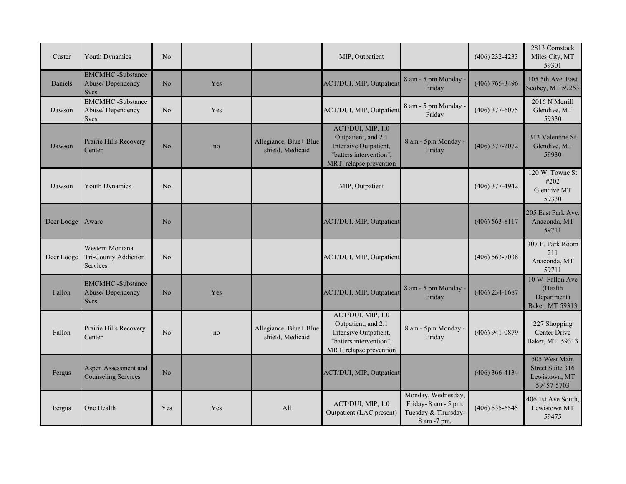| Custer     | <b>Youth Dynamics</b>                                       | N <sub>o</sub> |     |                                            | MIP, Outpatient                                                                                                         |                                                                                 | $(406)$ 232-4233 | 2813 Comstock<br>Miles City, MT<br>59301                         |
|------------|-------------------------------------------------------------|----------------|-----|--------------------------------------------|-------------------------------------------------------------------------------------------------------------------------|---------------------------------------------------------------------------------|------------------|------------------------------------------------------------------|
| Daniels    | <b>EMCMHC</b> -Substance<br>Abuse/Dependency<br><b>Svcs</b> | No             | Yes |                                            | ACT/DUI, MIP, Outpatient                                                                                                | 8 am - 5 pm Monday<br>Friday                                                    | $(406)$ 765-3496 | 105 5th Ave. East<br>Scobey, MT 59263                            |
| Dawson     | <b>EMCMHC</b> -Substance<br>Abuse/Dependency<br><b>Svcs</b> | N <sub>o</sub> | Yes |                                            | ACT/DUI, MIP, Outpatient                                                                                                | 8 am - 5 pm Monday -<br>Friday                                                  | $(406)$ 377-6075 | 2016 N Merrill<br>Glendive, MT<br>59330                          |
| Dawson     | Prairie Hills Recovery<br>Center                            | N <sub>o</sub> | no  | Allegiance, Blue+ Blue<br>shield, Medicaid | ACT/DUI, MIP, 1.0<br>Outpatient, and 2.1<br>Intensive Outpatient,<br>"batters intervention",<br>MRT, relapse prevention | 8 am - 5pm Monday -<br>Friday                                                   | $(406)$ 377-2072 | 313 Valentine St<br>Glendive, MT<br>59930                        |
| Dawson     | Youth Dynamics                                              | No             |     |                                            | MIP, Outpatient                                                                                                         |                                                                                 | $(406)$ 377-4942 | 120 W. Towne St<br>#202<br>Glendive MT<br>59330                  |
| Deer Lodge | Aware                                                       | N <sub>o</sub> |     |                                            | ACT/DUI, MIP, Outpatient                                                                                                |                                                                                 | $(406)$ 563-8117 | 205 East Park Ave.<br>Anaconda, MT<br>59711                      |
| Deer Lodge | Western Montana<br>Tri-County Addiction<br><b>Services</b>  | N <sub>o</sub> |     |                                            | ACT/DUI, MIP, Outpatient                                                                                                |                                                                                 | $(406)$ 563-7038 | 307 E. Park Room<br>211<br>Anaconda, MT<br>59711                 |
| Fallon     | <b>EMCMHC</b> -Substance<br>Abuse/Dependency<br><b>Svcs</b> | No             | Yes |                                            | ACT/DUI, MIP, Outpatient                                                                                                | 8 am - 5 pm Monday ·<br>Friday                                                  | $(406)$ 234-1687 | 10 W Fallon Ave<br>(Health<br>Department)<br>Baker, MT 59313     |
| Fallon     | Prairie Hills Recovery<br>Center                            | N <sub>o</sub> | no  | Allegiance, Blue+ Blue<br>shield, Medicaid | ACT/DUI, MIP, 1.0<br>Outpatient, and 2.1<br>Intensive Outpatient,<br>"batters intervention",<br>MRT, relapse prevention | 8 am - 5pm Monday -<br>Friday                                                   | $(406)$ 941-0879 | 227 Shopping<br>Center Drive<br>Baker, MT 59313                  |
| Fergus     | Aspen Assessment and<br><b>Counseling Services</b>          | No             |     |                                            | ACT/DUI, MIP, Outpatient                                                                                                |                                                                                 | $(406)$ 366-4134 | 505 West Main<br>Street Suite 316<br>Lewistown, MT<br>59457-5703 |
| Fergus     | One Health                                                  | Yes            | Yes | All                                        | ACT/DUI, MIP, 1.0<br>Outpatient (LAC present)                                                                           | Monday, Wednesday,<br>Friday-8 am - 5 pm.<br>Tuesday & Thursday-<br>8 am -7 pm. | $(406)$ 535-6545 | 406 1st Ave South,<br>Lewistown MT<br>59475                      |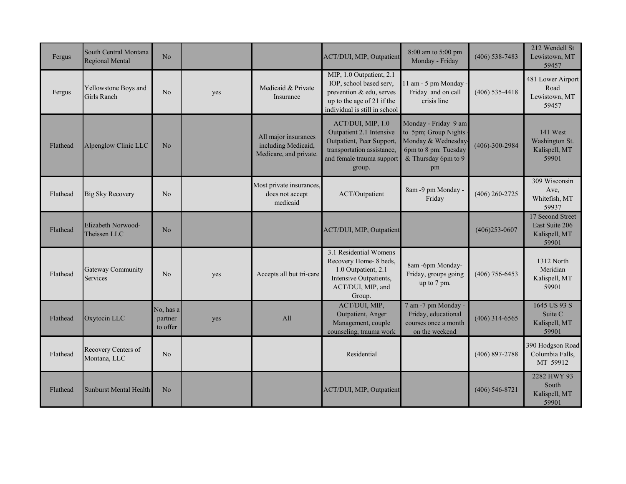| Fergus   | South Central Montana<br>Regional Mental | N <sub>o</sub>                   |     |                                                                       | ACT/DUI, MIP, Outpatient                                                                                                                        | 8:00 am to 5:00 pm<br>Monday - Friday                                                                                   | $(406)$ 538-7483     | 212 Wendell St<br>Lewistown, MT<br>59457                     |
|----------|------------------------------------------|----------------------------------|-----|-----------------------------------------------------------------------|-------------------------------------------------------------------------------------------------------------------------------------------------|-------------------------------------------------------------------------------------------------------------------------|----------------------|--------------------------------------------------------------|
| Fergus   | Yellowstone Boys and<br>Girls Ranch      | No                               | yes | Medicaid & Private<br>Insurance                                       | MIP, 1.0 Outpatient, 2.1<br>IOP, school based serv,<br>prevention & edu, serves<br>up to the age of 21 if the<br>individual is still in school  | 1 am - 5 pm Monday<br>Friday and on call<br>crisis line                                                                 | $(406)$ 535-4418     | 481 Lower Airport<br>Road<br>Lewistown, MT<br>59457          |
| Flathead | Alpenglow Clinic LLC                     | N <sub>o</sub>                   |     | All major insurances<br>including Medicaid,<br>Medicare, and private. | ACT/DUI, MIP, 1.0<br>Outpatient 2.1 Intensive<br>Outpatient, Peer Support,<br>transportation assistance,<br>and female trauma support<br>group. | Monday - Friday 9 am<br>to 5pm; Group Nights<br>Monday & Wednesday<br>6pm to 8 pm: Tuesday<br>& Thursday 6pm to 9<br>pm | $(406) - 300 - 2984$ | 141 West<br>Washington St.<br>Kalispell, MT<br>59901         |
| Flathead | <b>Big Sky Recovery</b>                  | N <sub>o</sub>                   |     | Most private insurances,<br>does not accept<br>medicaid               | ACT/Outpatient                                                                                                                                  | 8am -9 pm Monday -<br>Friday                                                                                            | $(406)$ 260-2725     | 309 Wisconsin<br>Ave,<br>Whitefish, MT<br>59937              |
| Flathead | Elizabeth Norwood-<br>Theissen LLC       | N <sub>o</sub>                   |     |                                                                       | ACT/DUI, MIP, Outpatient                                                                                                                        |                                                                                                                         | $(406)253 - 0607$    | 17 Second Street<br>East Suite 206<br>Kalispell, MT<br>59901 |
| Flathead | <b>Gateway Community</b><br>Services     | N <sub>o</sub>                   | yes | Accepts all but tri-care                                              | 3.1 Residential Womens<br>Recovery Home- 8 beds,<br>1.0 Outpatient, 2.1<br>Intensive Outpatients,<br>ACT/DUI, MIP, and<br>Group.                | 8am -6pm Monday-<br>Friday, groups going<br>up to 7 pm.                                                                 | $(406)$ 756-6453     | 1312 North<br>Meridian<br>Kalispell, MT<br>59901             |
| Flathead | Oxytocin LLC                             | No, has a<br>partner<br>to offer | yes | All                                                                   | ACT/DUI, MIP,<br>Outpatient, Anger<br>Management, couple<br>counseling, trauma work                                                             | 7 am -7 pm Monday -<br>Friday, educational<br>courses once a month<br>on the weekend                                    | $(406)$ 314-6565     | 1645 US 93 S<br>Suite C<br>Kalispell, MT<br>59901            |
| Flathead | Recovery Centers of<br>Montana, LLC      | No                               |     |                                                                       | Residential                                                                                                                                     |                                                                                                                         | $(406) 897 - 2788$   | 390 Hodgson Road<br>Columbia Falls,<br>MT 59912              |
| Flathead | <b>Sunburst Mental Health</b>            | N <sub>o</sub>                   |     |                                                                       | ACT/DUI, MIP, Outpatient                                                                                                                        |                                                                                                                         | $(406)$ 546-8721     | 2282 HWY 93<br>South<br>Kalispell, MT<br>59901               |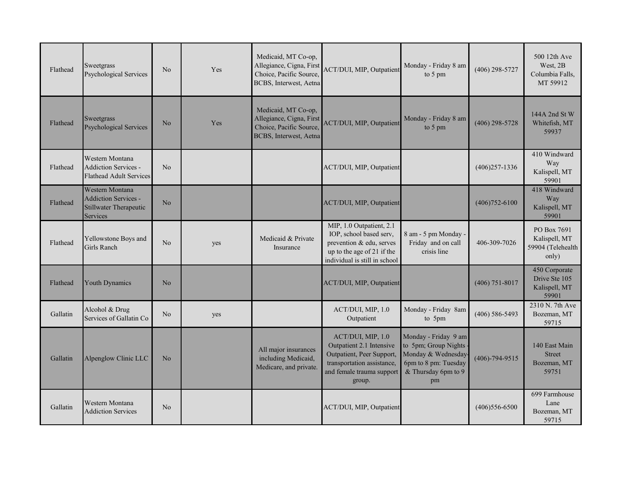| Flathead | Sweetgrass<br>Psychological Services                                                        | N <sub>o</sub> | Yes | Medicaid, MT Co-op,<br>Allegiance, Cigna, First<br>Choice, Pacific Source,<br>BCBS, Interwest, Aetna | ACT/DUI, MIP, Outpatient                                                                                                                        | Monday - Friday 8 am<br>to 5 pm                                                                                         | $(406)$ 298-5727     | 500 12th Ave<br>West, 2B<br>Columbia Falls,<br>MT 59912    |
|----------|---------------------------------------------------------------------------------------------|----------------|-----|------------------------------------------------------------------------------------------------------|-------------------------------------------------------------------------------------------------------------------------------------------------|-------------------------------------------------------------------------------------------------------------------------|----------------------|------------------------------------------------------------|
| Flathead | Sweetgrass<br>Psychological Services                                                        | No             | Yes | Medicaid, MT Co-op,<br>Allegiance, Cigna, First<br>Choice, Pacific Source,<br>BCBS, Interwest, Aetna | <b>ACT/DUI, MIP, Outpatient</b>                                                                                                                 | Monday - Friday 8 am<br>to 5 pm                                                                                         | $(406)$ 298-5728     | 144A 2nd St W<br>Whitefish, MT<br>59937                    |
| Flathead | Western Montana<br><b>Addiction Services -</b><br><b>Flathead Adult Services</b>            | N <sub>o</sub> |     |                                                                                                      | ACT/DUI, MIP, Outpatient                                                                                                                        |                                                                                                                         | $(406)257 - 1336$    | 410 Windward<br>Way<br>Kalispell, MT<br>59901              |
| Flathead | <b>Western Montana</b><br><b>Addiction Services -</b><br>Stillwater Therapeutic<br>Services | N <sub>o</sub> |     |                                                                                                      | ACT/DUI, MIP, Outpatient                                                                                                                        |                                                                                                                         | $(406)752 - 6100$    | 418 Windward<br>Way<br>Kalispell, MT<br>59901              |
| Flathead | Yellowstone Boys and<br>Girls Ranch                                                         | N <sub>o</sub> | yes | Medicaid & Private<br>Insurance                                                                      | MIP, 1.0 Outpatient, 2.1<br>IOP, school based serv,<br>prevention & edu, serves<br>up to the age of 21 if the<br>individual is still in school  | 8 am - 5 pm Monday -<br>Friday and on call<br>crisis line                                                               | 406-309-7026         | PO Box 7691<br>Kalispell, MT<br>59904 (Telehealth<br>only) |
| Flathead | <b>Youth Dynamics</b>                                                                       | N <sub>o</sub> |     |                                                                                                      | ACT/DUI, MIP, Outpatient                                                                                                                        |                                                                                                                         | $(406)$ 751-8017     | 450 Corporate<br>Drive Ste 105<br>Kalispell, MT<br>59901   |
| Gallatin | Alcohol & Drug<br>Services of Gallatin Co                                                   | No             | yes |                                                                                                      | ACT/DUI, MIP, 1.0<br>Outpatient                                                                                                                 | Monday - Friday 8am<br>to 5pm                                                                                           | $(406)$ 586-5493     | 2310 N. 7th Ave<br>Bozeman, MT<br>59715                    |
| Gallatin | Alpenglow Clinic LLC                                                                        | No             |     | All major insurances<br>including Medicaid,<br>Medicare, and private.                                | ACT/DUI, MIP, 1.0<br>Outpatient 2.1 Intensive<br>Outpatient, Peer Support,<br>transportation assistance,<br>and female trauma support<br>group. | Monday - Friday 9 am<br>to 5pm; Group Nights<br>Monday & Wednesday<br>6pm to 8 pm: Tuesday<br>& Thursday 6pm to 9<br>pm | $(406) - 794 - 9515$ | 140 East Main<br><b>Street</b><br>Bozeman, MT<br>59751     |
| Gallatin | Western Montana<br><b>Addiction Services</b>                                                | N <sub>o</sub> |     |                                                                                                      | ACT/DUI, MIP, Outpatient                                                                                                                        |                                                                                                                         | $(406)556-6500$      | 699 Farmhouse<br>Lane<br>Bozeman, MT<br>59715              |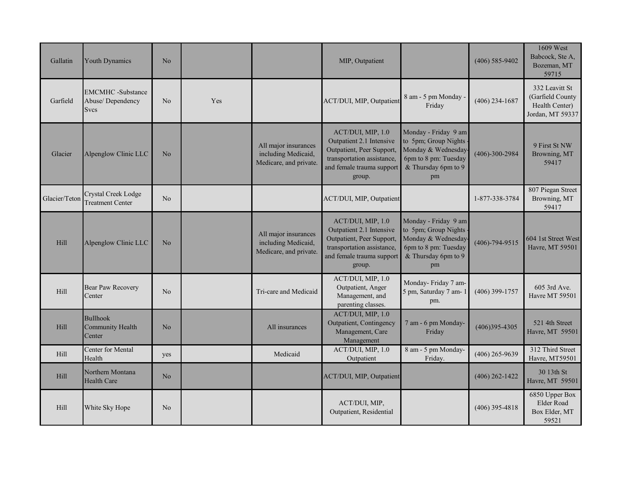| Gallatin      | <b>Youth Dynamics</b>                                       | N <sub>o</sub> |     |                                                                       | MIP, Outpatient                                                                                                                                 |                                                                                                                         | $(406)$ 585-9402     | 1609 West<br>Babcock, Ste A,<br>Bozeman, MT<br>59715                     |
|---------------|-------------------------------------------------------------|----------------|-----|-----------------------------------------------------------------------|-------------------------------------------------------------------------------------------------------------------------------------------------|-------------------------------------------------------------------------------------------------------------------------|----------------------|--------------------------------------------------------------------------|
| Garfield      | <b>EMCMHC</b> -Substance<br>Abuse/Dependency<br><b>Svcs</b> | N <sub>o</sub> | Yes |                                                                       | ACT/DUI, MIP, Outpatient                                                                                                                        | 8 am - 5 pm Monday -<br>Friday                                                                                          | $(406)$ 234-1687     | 332 Leavitt St<br>(Garfield County<br>Health Center)<br>Jordan, MT 59337 |
| Glacier       | Alpenglow Clinic LLC                                        | No             |     | All major insurances<br>including Medicaid,<br>Medicare, and private. | ACT/DUI, MIP, 1.0<br>Outpatient 2.1 Intensive<br>Outpatient, Peer Support,<br>transportation assistance,<br>and female trauma support<br>group. | Monday - Friday 9 am<br>to 5pm; Group Nights<br>Monday & Wednesday<br>6pm to 8 pm: Tuesday<br>& Thursday 6pm to 9<br>pm | $(406) - 300 - 2984$ | 9 First St NW<br>Browning, MT<br>59417                                   |
| Glacier/Teton | Crystal Creek Lodge<br><b>Treatment Center</b>              | N <sub>o</sub> |     |                                                                       | ACT/DUI, MIP, Outpatient                                                                                                                        |                                                                                                                         | 1-877-338-3784       | 807 Piegan Street<br>Browning, MT<br>59417                               |
| Hill          | Alpenglow Clinic LLC                                        | No             |     | All major insurances<br>including Medicaid,<br>Medicare, and private. | ACT/DUI, MIP, 1.0<br>Outpatient 2.1 Intensive<br>Outpatient, Peer Support,<br>transportation assistance,<br>and female trauma support<br>group. | Monday - Friday 9 am<br>to 5pm; Group Nights<br>Monday & Wednesday<br>6pm to 8 pm: Tuesday<br>& Thursday 6pm to 9<br>pm | $(406) - 794 - 9515$ | 604 1st Street West<br>Havre, MT 59501                                   |
| <b>Hill</b>   | Bear Paw Recovery<br>Center                                 | N <sub>o</sub> |     | Tri-care and Medicaid                                                 | ACT/DUI, MIP, 1.0<br>Outpatient, Anger<br>Management, and<br>parenting classes.                                                                 | Monday-Friday 7 am-<br>5 pm, Saturday 7 am- 1<br>pm.                                                                    | $(406)$ 399-1757     | 605 3rd Ave.<br>Havre MT 59501                                           |
| Hill          | <b>Bullhook</b><br>Community Health<br>Center               | No             |     | All insurances                                                        | ACT/DUI, MIP, 1.0<br>Outpatient, Contingency<br>Management, Care<br>Management                                                                  | 7 am - 6 pm Monday-<br>Friday                                                                                           | $(406)395 - 4305$    | 521 4th Street<br>Havre, MT 59501                                        |
| <b>Hill</b>   | Center for Mental<br>Health                                 | yes            |     | Medicaid                                                              | ACT/DUI, MIP, 1.0<br>Outpatient                                                                                                                 | 8 am - 5 pm Monday-<br>Friday.                                                                                          | $(406)$ 265-9639     | 312 Third Street<br>Havre, MT59501                                       |
| <b>Hill</b>   | Northern Montana<br><b>Health Care</b>                      | No             |     |                                                                       | ACT/DUI, MIP, Outpatient                                                                                                                        |                                                                                                                         | $(406)$ 262-1422     | 30 13th St<br>Havre, MT 59501                                            |
| Hill          | White Sky Hope                                              | N <sub>o</sub> |     |                                                                       | ACT/DUI, MIP,<br>Outpatient, Residential                                                                                                        |                                                                                                                         | $(406)$ 395-4818     | 6850 Upper Box<br>Elder Road<br>Box Elder, MT<br>59521                   |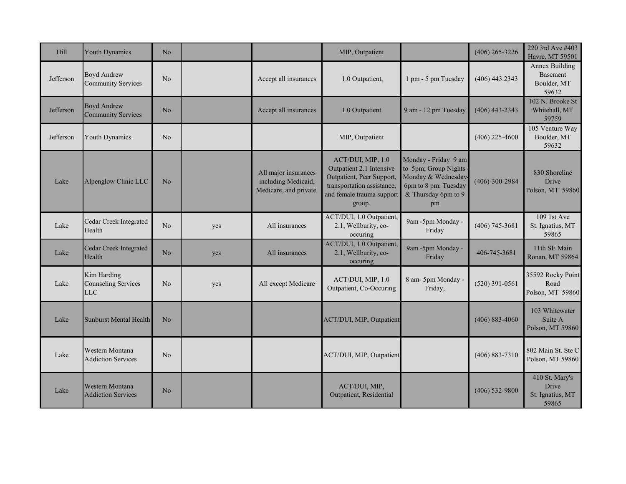| Hill      | Youth Dynamics                                          | No             |     |                                                                       | MIP, Outpatient                                                                                                                                 |                                                                                                                         | $(406)$ 265-3226     | 220 3rd Ave #403<br>Havre, MT 59501                  |
|-----------|---------------------------------------------------------|----------------|-----|-----------------------------------------------------------------------|-------------------------------------------------------------------------------------------------------------------------------------------------|-------------------------------------------------------------------------------------------------------------------------|----------------------|------------------------------------------------------|
| Jefferson | <b>Boyd Andrew</b><br><b>Community Services</b>         | No             |     | Accept all insurances                                                 | 1.0 Outpatient,                                                                                                                                 | 1 pm - 5 pm Tuesday                                                                                                     | $(406)$ 443.2343     | Annex Building<br>Basement<br>Boulder, MT<br>59632   |
| Jefferson | <b>Boyd Andrew</b><br><b>Community Services</b>         | No             |     | Accept all insurances                                                 | 1.0 Outpatient                                                                                                                                  | 9 am - 12 pm Tuesday                                                                                                    | $(406)$ 443-2343     | 102 N. Brooke St<br>Whitehall, MT<br>59759           |
| Jefferson | Youth Dynamics                                          | N <sub>o</sub> |     |                                                                       | MIP, Outpatient                                                                                                                                 |                                                                                                                         | $(406)$ 225-4600     | 105 Venture Way<br>Boulder, MT<br>59632              |
| Lake      | Alpenglow Clinic LLC                                    | N <sub>o</sub> |     | All major insurances<br>including Medicaid,<br>Medicare, and private. | ACT/DUI, MIP, 1.0<br>Outpatient 2.1 Intensive<br>Outpatient, Peer Support,<br>transportation assistance,<br>and female trauma support<br>group. | Monday - Friday 9 am<br>to 5pm; Group Nights<br>Monday & Wednesday<br>6pm to 8 pm: Tuesday<br>& Thursday 6pm to 9<br>pm | $(406) - 300 - 2984$ | 830 Shoreline<br>Drive<br>Polson, MT 59860           |
| Lake      | Cedar Creek Integrated<br>Health                        | N <sub>o</sub> | yes | All insurances                                                        | ACT/DUI, 1.0 Outpatient,<br>2.1, Wellburity, co-<br>occuring                                                                                    | 9am -5pm Monday -<br>Friday                                                                                             | $(406)$ 745-3681     | 109 1st Ave<br>St. Ignatius, MT<br>59865             |
| Lake      | <b>Cedar Creek Integrated</b><br>Health                 | N <sub>o</sub> | yes | All insurances                                                        | ACT/DUI, 1.0 Outpatient,<br>2.1, Wellburity, co-<br>occuring                                                                                    | 9am -5pm Monday -<br>Friday                                                                                             | 406-745-3681         | 11th SE Main<br>Ronan, MT 59864                      |
| Lake      | Kim Harding<br><b>Counseling Services</b><br><b>LLC</b> | No             | yes | All except Medicare                                                   | ACT/DUI, MIP, 1.0<br>Outpatient, Co-Occuring                                                                                                    | 8 am-5pm Monday -<br>Friday,                                                                                            | $(520)$ 391-0561     | 35592 Rocky Point<br>Road<br>Polson, MT 59860        |
| Lake      | <b>Sunburst Mental Health</b>                           | No             |     |                                                                       | ACT/DUI, MIP, Outpatient                                                                                                                        |                                                                                                                         | $(406) 883 - 4060$   | 103 Whitewater<br>Suite A<br>Polson, MT 59860        |
| Lake      | Western Montana<br><b>Addiction Services</b>            | No             |     |                                                                       | ACT/DUI, MIP, Outpatient                                                                                                                        |                                                                                                                         | $(406) 883 - 7310$   | 802 Main St. Ste C<br>Polson, MT 59860               |
| Lake      | Western Montana<br><b>Addiction Services</b>            | N <sub>o</sub> |     |                                                                       | ACT/DUI, MIP,<br>Outpatient, Residential                                                                                                        |                                                                                                                         | $(406)$ 532-9800     | 410 St. Mary's<br>Drive<br>St. Ignatius, MT<br>59865 |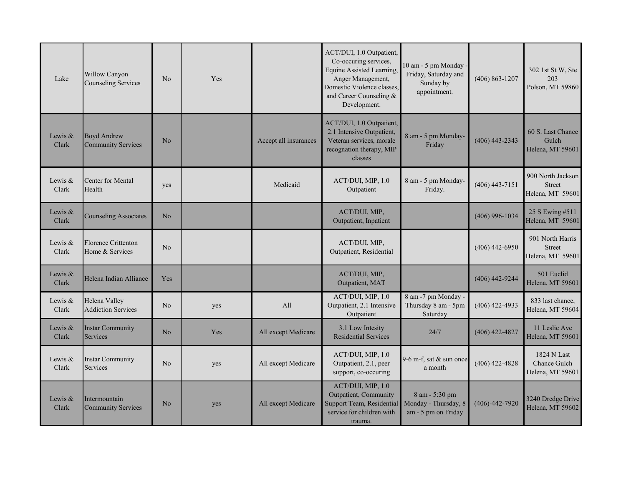| Lake               | Willow Canyon<br><b>Counseling Services</b>     | N <sub>o</sub> | Yes |                       | ACT/DUI, 1.0 Outpatient,<br>Co-occuring services,<br>Equine Assisted Learning,<br>Anger Management,<br>Domestic Violence classes,<br>and Career Counseling &<br>Development. | 10 am - 5 pm Monday<br>Friday, Saturday and<br>Sunday by<br>appointment. | $(406) 863 - 1207$   | 302 1st St W, Ste<br>203<br>Polson, MT 59860           |
|--------------------|-------------------------------------------------|----------------|-----|-----------------------|------------------------------------------------------------------------------------------------------------------------------------------------------------------------------|--------------------------------------------------------------------------|----------------------|--------------------------------------------------------|
| Lewis &<br>Clark   | <b>Boyd Andrew</b><br><b>Community Services</b> | N <sub>o</sub> |     | Accept all insurances | ACT/DUI, 1.0 Outpatient,<br>2.1 Intensive Outpatient,<br>Veteran services, morale<br>recognation therapy, MIP<br>classes                                                     | 8 am - 5 pm Monday-<br>Friday                                            | $(406)$ 443-2343     | 60 S. Last Chance<br>Gulch<br>Helena, MT 59601         |
| Lewis $&$<br>Clark | Center for Mental<br>Health                     | yes            |     | Medicaid              | ACT/DUI, MIP, 1.0<br>Outpatient                                                                                                                                              | 8 am - 5 pm Monday-<br>Friday.                                           | $(406)$ 443-7151     | 900 North Jackson<br><b>Street</b><br>Helena, MT 59601 |
| Lewis &<br>Clark   | <b>Counseling Associates</b>                    | No             |     |                       | ACT/DUI, MIP,<br>Outpatient, Inpatient                                                                                                                                       |                                                                          | $(406)$ 996-1034     | 25 S Ewing #511<br>Helena, MT 59601                    |
| Lewis &<br>Clark   | Florence Crittenton<br>Home & Services          | No             |     |                       | ACT/DUI, MIP,<br>Outpatient, Residential                                                                                                                                     |                                                                          | $(406)$ 442-6950     | 901 North Harris<br><b>Street</b><br>Helena, MT 59601  |
| Lewis &<br>Clark   | Helena Indian Alliance                          | Yes            |     |                       | ACT/DUI, MIP,<br>Outpatient, MAT                                                                                                                                             |                                                                          | $(406)$ 442-9244     | 501 Euclid<br>Helena, MT 59601                         |
| Lewis &<br>Clark   | Helena Valley<br><b>Addiction Services</b>      | N <sub>o</sub> | yes | All                   | ACT/DUI, MIP, 1.0<br>Outpatient, 2.1 Intensive<br>Outpatient                                                                                                                 | 8 am -7 pm Monday -<br>Thursday 8 am - 5pm<br>Saturday                   | $(406)$ 422-4933     | 833 last chance,<br>Helena, MT 59604                   |
| Lewis &<br>Clark   | <b>Instar Community</b><br><b>Services</b>      | N <sub>o</sub> | Yes | All except Medicare   | 3.1 Low Intesity<br><b>Residential Services</b>                                                                                                                              | 24/7                                                                     | $(406)$ 422-4827     | 11 Leslie Ave<br>Helena, MT 59601                      |
| Lewis $&$<br>Clark | <b>Instar Community</b><br><b>Services</b>      | N <sub>o</sub> | yes | All except Medicare   | ACT/DUI, MIP, 1.0<br>Outpatient, 2.1, peer<br>support, co-occuring                                                                                                           | 9-6 m-f, sat $&$ sun once<br>a month                                     | $(406)$ 422-4828     | 1824 N Last<br>Chance Gulch<br>Helena, MT 59601        |
| Lewis &<br>Clark   | Intermountain<br><b>Community Services</b>      | No             | yes | All except Medicare   | ACT/DUI, MIP, 1.0<br>Outpatient, Community<br>Support Team, Residential<br>service for children with<br>trauma.                                                              | 8 am - 5:30 pm<br>Monday - Thursday, 8<br>am - 5 pm on Friday            | $(406) - 442 - 7920$ | 3240 Dredge Drive<br>Helena, MT 59602                  |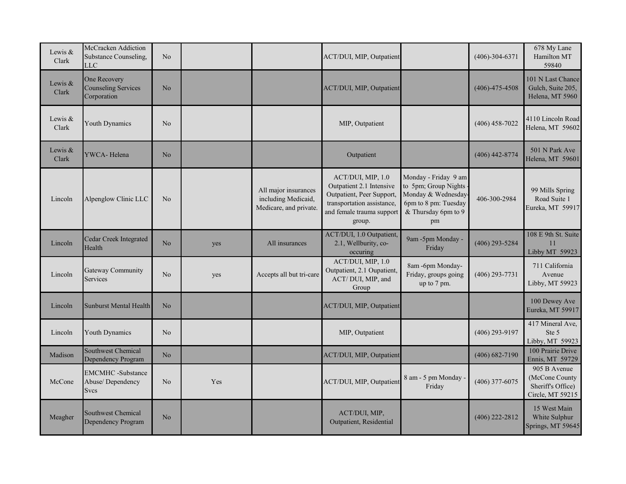| Lewis &<br>Clark   | McCracken Addiction<br>Substance Counseling,<br><b>LLC</b>  | N <sub>o</sub> |     |                                                                       | ACT/DUI, MIP, Outpatient                                                                                                                        |                                                                                                                         | $(406)-304-6371$     | 678 My Lane<br>Hamilton MT<br>59840                                     |
|--------------------|-------------------------------------------------------------|----------------|-----|-----------------------------------------------------------------------|-------------------------------------------------------------------------------------------------------------------------------------------------|-------------------------------------------------------------------------------------------------------------------------|----------------------|-------------------------------------------------------------------------|
| Lewis $&$<br>Clark | One Recovery<br><b>Counseling Services</b><br>Corporation   | No             |     |                                                                       | ACT/DUI, MIP, Outpatient                                                                                                                        |                                                                                                                         | $(406) - 475 - 4508$ | 101 N Last Chance<br>Gulch, Suite 205,<br>Helena, MT 5960               |
| Lewis $&$<br>Clark | Youth Dynamics                                              | N <sub>o</sub> |     |                                                                       | MIP, Outpatient                                                                                                                                 |                                                                                                                         | $(406)$ 458-7022     | 4110 Lincoln Road<br>Helena, MT 59602                                   |
| Lewis $&$<br>Clark | YWCA-Helena                                                 | N <sub>o</sub> |     |                                                                       | Outpatient                                                                                                                                      |                                                                                                                         | $(406)$ 442-8774     | 501 N Park Ave<br>Helena, MT 59601                                      |
| Lincoln            | Alpenglow Clinic LLC                                        | N <sub>o</sub> |     | All major insurances<br>including Medicaid,<br>Medicare, and private. | ACT/DUI, MIP, 1.0<br>Outpatient 2.1 Intensive<br>Outpatient, Peer Support,<br>transportation assistance,<br>and female trauma support<br>group. | Monday - Friday 9 am<br>to 5pm; Group Nights<br>Monday & Wednesday<br>6pm to 8 pm: Tuesday<br>& Thursday 6pm to 9<br>pm | 406-300-2984         | 99 Mills Spring<br>Road Suite 1<br>Eureka, MT 59917                     |
| Lincoln            | Cedar Creek Integrated<br>Health                            | No.            | yes | All insurances                                                        | ACT/DUI, 1.0 Outpatient,<br>2.1, Wellburity, co-<br>occuring                                                                                    | 9am -5pm Monday -<br>Friday                                                                                             | $(406)$ 293-5284     | 108 E 9th St. Suite<br>11<br>Libby MT 59923                             |
| Lincoln            | Gateway Community<br>Services                               | N <sub>o</sub> | yes | Accepts all but tri-care                                              | ACT/DUI, MIP, 1.0<br>Outpatient, 2.1 Oupatient,<br>ACT/DUI, MIP, and<br>Group                                                                   | 8am -6pm Monday-<br>Friday, groups going<br>up to 7 pm.                                                                 | $(406)$ 293-7731     | 711 California<br>Avenue<br>Libby, MT 59923                             |
| Lincoln            | <b>Sunburst Mental Health</b>                               | N <sub>o</sub> |     |                                                                       | ACT/DUI, MIP, Outpatient                                                                                                                        |                                                                                                                         |                      | 100 Dewey Ave<br>Eureka, MT 59917                                       |
| Lincoln            | Youth Dynamics                                              | N <sub>o</sub> |     |                                                                       | MIP, Outpatient                                                                                                                                 |                                                                                                                         | $(406)$ 293-9197     | 417 Mineral Ave,<br>Ste 5<br>Libby, MT 59923                            |
| Madison            | Southwest Chemical<br>Dependency Program                    | N <sub>o</sub> |     |                                                                       | ACT/DUI, MIP, Outpatient                                                                                                                        |                                                                                                                         | $(406) 682 - 7190$   | 100 Prairie Drive<br>Ennis, MT 59729                                    |
| McCone             | <b>EMCMHC</b> -Substance<br>Abuse/Dependency<br><b>Svcs</b> | N <sub>o</sub> | Yes |                                                                       | ACT/DUI, MIP, Outpatient                                                                                                                        | 8 am - 5 pm Monday<br>Friday                                                                                            | $(406)$ 377-6075     | 905 B Avenue<br>(McCone County<br>Sheriff's Office)<br>Circle, MT 59215 |
| Meagher            | Southwest Chemical<br>Dependency Program                    | No             |     |                                                                       | ACT/DUI, MIP,<br>Outpatient, Residential                                                                                                        |                                                                                                                         | $(406)$ 222-2812     | 15 West Main<br>White Sulphur<br>Springs, MT 59645                      |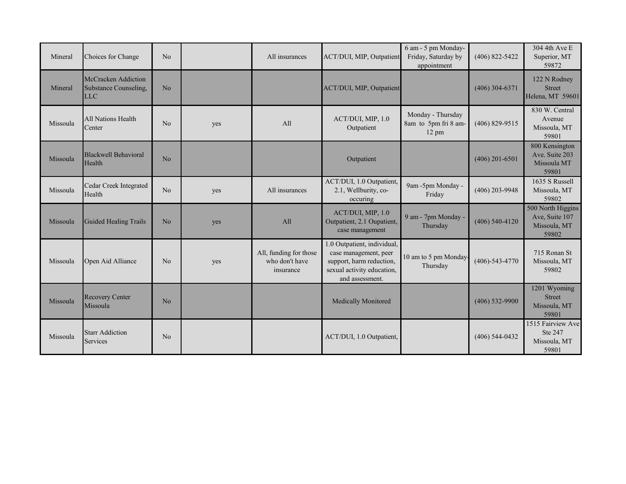| Mineral  | Choices for Change                                                | N <sub>o</sub> |     | All insurances                                        | ACT/DUI, MIP, Outpatient                                                                                                          | 6 am - 5 pm Monday-<br>Friday, Saturday by<br>appointment | $(406) 822 - 5422$   | 304 4th Ave E<br>Superior, MT<br>59872                       |
|----------|-------------------------------------------------------------------|----------------|-----|-------------------------------------------------------|-----------------------------------------------------------------------------------------------------------------------------------|-----------------------------------------------------------|----------------------|--------------------------------------------------------------|
| Mineral  | <b>McCracken Addiction</b><br>Substance Counseling,<br><b>LLC</b> | N <sub>o</sub> |     |                                                       | ACT/DUI, MIP, Outpatient                                                                                                          |                                                           | $(406)$ 304-6371     | 122 N Rodney<br><b>Street</b><br>Helena, MT 59601            |
| Missoula | <b>All Nations Health</b><br>Center                               | No             | yes | All                                                   | ACT/DUI, MIP, 1.0<br>Outpatient                                                                                                   | Monday - Thursday<br>8am to 5pm fri 8 am-<br>12 pm        | $(406) 829 - 9515$   | 830 W. Central<br>Avenue<br>Missoula, MT<br>59801            |
| Missoula | <b>Blackwell Behavioral</b><br>Health                             | N <sub>o</sub> |     |                                                       | Outpatient                                                                                                                        |                                                           | $(406)$ 201-6501     | 800 Kensington<br>Ave. Suite 203<br>Missoula MT<br>59801     |
| Missoula | Cedar Creek Integrated<br>Health                                  | No             | yes | All insurances                                        | ACT/DUI, 1.0 Outpatient,<br>2.1, Wellburity, co-<br>occuring                                                                      | 9am -5pm Monday -<br>Friday                               | $(406)$ 203-9948     | 1635 S Russell<br>Missoula, MT<br>59802                      |
| Missoula | Guided Healing Trails                                             | N <sub>o</sub> | yes | All                                                   | ACT/DUI, MIP, 1.0<br>Outpatient, 2.1 Oupatient,<br>case management                                                                | 9 am - 7pm Monday -<br>Thursday                           | $(406)$ 540-4120     | 500 North Higgins<br>Ave, Suite 107<br>Missoula, MT<br>59802 |
| Missoula | Open Aid Alliance                                                 | N <sub>o</sub> | yes | All, funding for those<br>who don't have<br>insurance | 1.0 Outpatient, individual,<br>case management, peer<br>support, harm reduction,<br>sexual activity education,<br>and assessment. | 10 am to 5 pm Monday<br>Thursday                          | $(406) - 543 - 4770$ | 715 Ronan St<br>Missoula, MT<br>59802                        |
| Missoula | <b>Recovery Center</b><br>Missoula                                | N <sub>o</sub> |     |                                                       | <b>Medically Monitored</b>                                                                                                        |                                                           | $(406)$ 532-9900     | 1201 Wyoming<br><b>Street</b><br>Missoula, MT<br>59801       |
| Missoula | <b>Starr Addiction</b><br>Services                                | N <sub>o</sub> |     |                                                       | ACT/DUI, 1.0 Outpatient,                                                                                                          |                                                           | $(406)$ 544-0432     | 1515 Fairview Ave<br>Ste 247<br>Missoula, MT<br>59801        |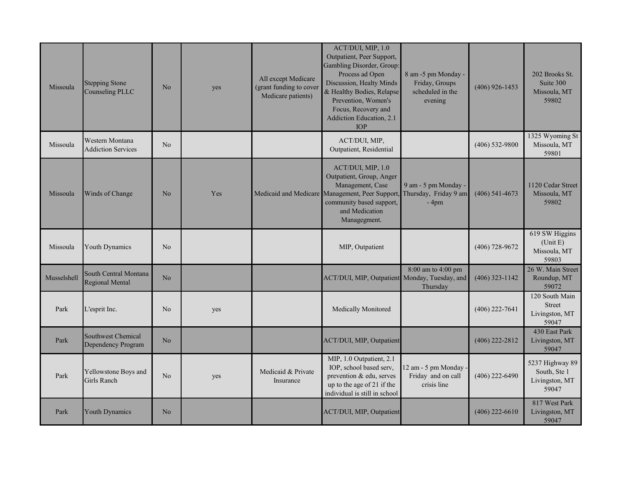| Missoula    | <b>Stepping Stone</b><br><b>Counseling PLLC</b> | No             | yes | All except Medicare<br>(grant funding to cover<br>Medicare patients) | ACT/DUI, MIP, 1.0<br>Outpatient, Peer Support,<br>Gambling Disorder, Group:<br>Process ad Open<br>Discussion, Healty Minds<br>& Healthy Bodies, Relapse<br>Prevention, Women's<br>Focus, Recovery and<br>Addiction Education, 2.1<br><b>TOP</b> | 8 am -5 pm Monday -<br>Friday, Groups<br>scheduled in the<br>evening | $(406)$ 926-1453 | 202 Brooks St.<br>Suite 300<br>Missoula, MT<br>59802       |
|-------------|-------------------------------------------------|----------------|-----|----------------------------------------------------------------------|-------------------------------------------------------------------------------------------------------------------------------------------------------------------------------------------------------------------------------------------------|----------------------------------------------------------------------|------------------|------------------------------------------------------------|
| Missoula    | Western Montana<br><b>Addiction Services</b>    | N <sub>o</sub> |     |                                                                      | ACT/DUI, MIP,<br>Outpatient, Residential                                                                                                                                                                                                        |                                                                      | $(406)$ 532-9800 | 1325 Wyoming St<br>Missoula, MT<br>59801                   |
| Missoula    | Winds of Change                                 | No             | Yes |                                                                      | ACT/DUI, MIP, 1.0<br>Outpatient, Group, Anger<br>Management, Case<br>Medicaid and Medicare Management, Peer Support, Thursday, Friday 9 am<br>community based support,<br>and Medication<br>Managegment.                                        | 9 am - 5 pm Monday -<br>$-4$ pm                                      | $(406)$ 541-4673 | 1120 Cedar Street<br>Missoula, MT<br>59802                 |
| Missoula    | Youth Dynamics                                  | No             |     |                                                                      | MIP, Outpatient                                                                                                                                                                                                                                 |                                                                      | $(406)$ 728-9672 | 619 SW Higgins<br>(Unit E)<br>Missoula, MT<br>59803        |
| Musselshell | South Central Montana<br><b>Regional Mental</b> | N <sub>o</sub> |     |                                                                      | ACT/DUI, MIP, Outpatient                                                                                                                                                                                                                        | 8:00 am to 4:00 pm<br>Monday, Tuesday, and<br>Thursday               | $(406)$ 323-1142 | 26 W. Main Street<br>Roundup, MT<br>59072                  |
| Park        | L'esprit Inc.                                   | No             | yes |                                                                      | Medically Monitored                                                                                                                                                                                                                             |                                                                      | $(406)$ 222-7641 | 120 South Main<br><b>Street</b><br>Livingston, MT<br>59047 |
| Park        | Southwest Chemical<br>Dependency Program        | N <sub>o</sub> |     |                                                                      | ACT/DUI, MIP, Outpatient                                                                                                                                                                                                                        |                                                                      | $(406)$ 222-2812 | 430 East Park<br>Livingston, MT<br>59047                   |
| Park        | Yellowstone Boys and<br>Girls Ranch             | N <sub>o</sub> | yes | Medicaid & Private<br>Insurance                                      | MIP, 1.0 Outpatient, 2.1<br>IOP, school based serv,<br>prevention & edu, serves<br>up to the age of 21 if the<br>individual is still in school                                                                                                  | 12 am - 5 pm Monday<br>Friday and on call<br>crisis line             | $(406)$ 222-6490 | 5237 Highway 89<br>South, Ste 1<br>Livingston, MT<br>59047 |
| Park        | Youth Dynamics                                  | No             |     |                                                                      | ACT/DUI, MIP, Outpatient                                                                                                                                                                                                                        |                                                                      | $(406)$ 222-6610 | 817 West Park<br>Livingston, MT<br>59047                   |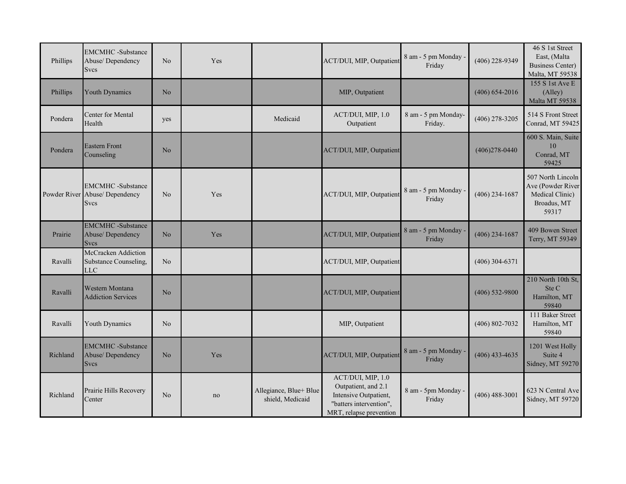| Phillips | <b>EMCMHC</b> -Substance<br>Abuse/Dependency<br><b>Svcs</b>               | N <sub>o</sub> | Yes |                                            | ACT/DUI, MIP, Outpatient                                                                                                | 8 am - 5 pm Monday -<br>Friday | $(406)$ 228-9349   | 46 S 1st Street<br>East, (Malta<br><b>Business Center)</b><br>Malta, MT 59538     |
|----------|---------------------------------------------------------------------------|----------------|-----|--------------------------------------------|-------------------------------------------------------------------------------------------------------------------------|--------------------------------|--------------------|-----------------------------------------------------------------------------------|
| Phillips | <b>Youth Dynamics</b>                                                     | No             |     |                                            | MIP, Outpatient                                                                                                         |                                | $(406) 654 - 2016$ | 155 S 1st Ave E<br>(Alley)<br>Malta MT 59538                                      |
| Pondera  | <b>Center for Mental</b><br>Health                                        | yes            |     | Medicaid                                   | ACT/DUI, MIP, 1.0<br>Outpatient                                                                                         | 8 am - 5 pm Monday-<br>Friday. | $(406)$ 278-3205   | 514 S Front Street<br>Conrad, MT 59425                                            |
| Pondera  | <b>Eastern Front</b><br>Counseling                                        | No             |     |                                            | ACT/DUI, MIP, Outpatient                                                                                                |                                | $(406)278 - 0440$  | 600 S. Main, Suite<br>10<br>Conrad, MT<br>59425                                   |
|          | <b>EMCMHC</b> -Substance<br>Powder River Abuse/ Dependency<br><b>Svcs</b> | N <sub>o</sub> | Yes |                                            | ACT/DUI, MIP, Outpatient                                                                                                | 8 am - 5 pm Monday -<br>Friday | $(406)$ 234-1687   | 507 North Lincoln<br>Ave (Powder River<br>Medical Clinic)<br>Broadus, MT<br>59317 |
| Prairie  | <b>EMCMHC</b> -Substance<br>Abuse/Dependency<br><b>Svcs</b>               | N <sub>o</sub> | Yes |                                            | ACT/DUI, MIP, Outpatient                                                                                                | 8 am - 5 pm Monday -<br>Friday | $(406)$ 234-1687   | 409 Bowen Street<br>Terry, MT 59349                                               |
| Ravalli  | McCracken Addiction<br>Substance Counseling,<br><b>LLC</b>                | N <sub>o</sub> |     |                                            | ACT/DUI, MIP, Outpatient                                                                                                |                                | $(406)$ 304-6371   |                                                                                   |
| Ravalli  | Western Montana<br><b>Addiction Services</b>                              | No             |     |                                            | ACT/DUI, MIP, Outpatient                                                                                                |                                | $(406)$ 532-9800   | 210 North 10th St,<br>Ste C<br>Hamilton, MT<br>59840                              |
| Ravalli  | Youth Dynamics                                                            | N <sub>o</sub> |     |                                            | MIP, Outpatient                                                                                                         |                                | $(406) 802 - 7032$ | 111 Baker Street<br>Hamilton, MT<br>59840                                         |
| Richland | <b>EMCMHC</b> -Substance<br>Abuse/Dependency<br><b>Svcs</b>               | No             | Yes |                                            | ACT/DUI, MIP, Outpatient                                                                                                | 8 am - 5 pm Monday -<br>Friday | $(406)$ 433-4635   | 1201 West Holly<br>Suite 4<br>Sidney, MT 59270                                    |
| Richland | Prairie Hills Recovery<br>Center                                          | N <sub>o</sub> | no  | Allegiance, Blue+ Blue<br>shield, Medicaid | ACT/DUI, MIP, 1.0<br>Outpatient, and 2.1<br>Intensive Outpatient,<br>"batters intervention",<br>MRT, relapse prevention | 8 am - 5pm Monday -<br>Friday  | $(406)$ 488-3001   | 623 N Central Ave<br>Sidney, MT 59720                                             |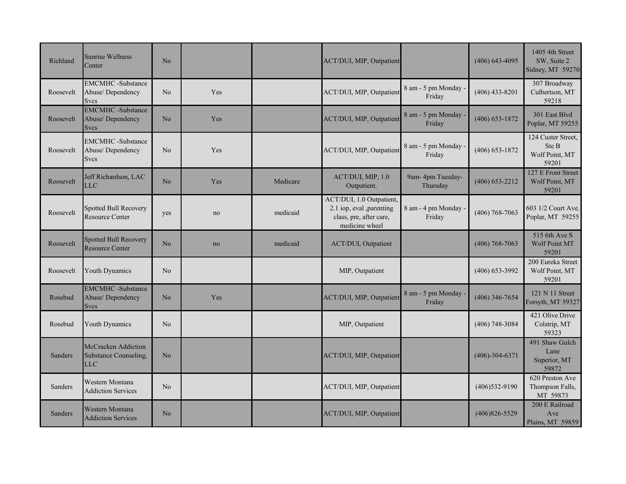| Richland  | <b>Sunrise Wellness</b><br>Center                           | No             |     |          | ACT/DUI, MIP, Outpatient                                                                          |                                | $(406)$ 643-4095   | 1405 4th Street<br>SW, Suite 2<br>Sidney, MT 59270     |
|-----------|-------------------------------------------------------------|----------------|-----|----------|---------------------------------------------------------------------------------------------------|--------------------------------|--------------------|--------------------------------------------------------|
| Roosevelt | <b>EMCMHC</b> -Substance<br>Abuse/Dependency<br><b>Svcs</b> | No             | Yes |          | ACT/DUI, MIP, Outpatient                                                                          | 8 am - 5 pm Monday -<br>Friday | $(406)$ 433-8201   | 307 Broadway<br>Culbertson, MT<br>59218                |
| Roosevelt | <b>EMCMHC</b> -Substance<br>Abuse/Dependency<br><b>Svcs</b> | N <sub>o</sub> | Yes |          | ACT/DUI, MIP, Outpatient                                                                          | 8 am - 5 pm Monday ·<br>Friday | $(406)$ 653-1872   | 301 East Blvd<br>Poplar, MT 59255                      |
| Roosevelt | <b>EMCMHC</b> -Substance<br>Abuse/Dependency<br>Svcs        | N <sub>o</sub> | Yes |          | ACT/DUI, MIP, Outpatient                                                                          | 8 am - 5 pm Monday<br>Friday   | $(406) 653 - 1872$ | 124 Custer Street,<br>Ste B<br>Wolf Point, MT<br>59201 |
| Roosevelt | Jeff Richardson, LAC<br>LLC                                 | N <sub>o</sub> | Yes | Medicare | ACT/DUI, MIP, 1.0<br>Outpatient.                                                                  | 9am- 4pm Tuesday-<br>Thursday  | $(406) 653 - 2212$ | 127 E Front Street<br>Wolf Point, MT<br>59201          |
| Roosevelt | <b>Spotted Bull Recovery</b><br>Resource Center             | yes            | no  | medicaid | ACT/DUI, 1.0 Outpatient,<br>2.1 iop, eval ,parenting<br>class, pre, after care,<br>medicine wheel | 8 am - 4 pm Monday<br>Friday   | $(406)$ 768-7063   | 603 1/2 Court Ave.<br>Poplar, MT 59255                 |
| Roosevelt | <b>Spotted Bull Recovery</b><br><b>Resource Center</b>      | No             | no  | medicaid | ACT/DUI, Outpatient                                                                               |                                | $(406)$ 768-7063   | 515 6th Ave S<br><b>Wolf Point MT</b><br>59201         |
| Roosevelt | <b>Youth Dynamics</b>                                       | No             |     |          | MIP, Outpatient                                                                                   |                                | $(406)$ 653-3992   | 200 Eureka Street<br>Wolf Point, MT<br>59201           |
| Rosebud   | <b>EMCMHC</b> -Substance<br>Abuse/Dependency<br><b>Svcs</b> | N <sub>o</sub> | Yes |          | ACT/DUI, MIP, Outpatient                                                                          | 8 am - 5 pm Monday -<br>Friday | $(406)$ 346-7654   | 121 N 11 Street<br>Forsyth, MT 59327                   |
| Rosebud   | Youth Dynamics                                              | N <sub>o</sub> |     |          | MIP, Outpatient                                                                                   |                                | $(406)$ 748-3084   | 421 Olive Drive<br>Colstrip, MT<br>59323               |
| Sanders   | McCracken Addiction<br>Substance Counseling,<br><b>LLC</b>  | N <sub>o</sub> |     |          | ACT/DUI, MIP, Outpatient                                                                          |                                | $(406)-304-6371$   | 491 Shaw Gulch<br>Lane<br>Superior, MT<br>59872        |
| Sanders   | Western Montana<br><b>Addiction Services</b>                | No             |     |          | ACT/DUI, MIP, Outpatient                                                                          |                                | $(406)532-9190$    | 620 Preston Ave<br>Thompson Falls,<br>MT 59873         |
| Sanders   | Western Montana<br><b>Addiction Services</b>                | No             |     |          | ACT/DUI, MIP, Outpatient                                                                          |                                | $(406)826 - 5529$  | 200 E Railroad<br>Ave<br>Plains, MT 59859              |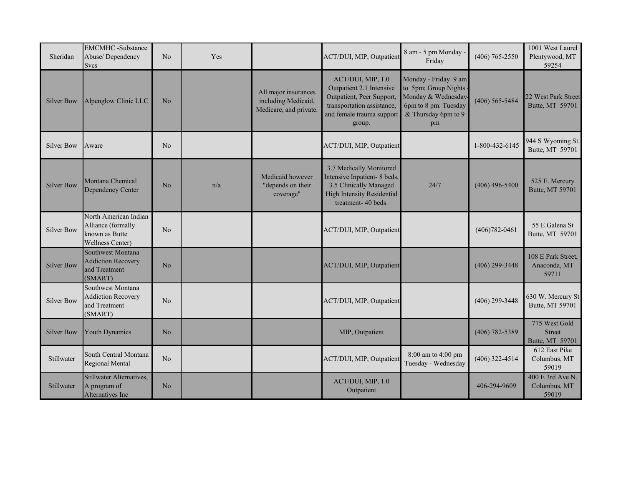| Sheridan          | <b>EMCMHC</b> -Substance<br>Abuse/Dependency<br><b>Svcs</b>                       | N <sub>o</sub> | Yes |                                                                       | ACT/DUI, MIP, Outpatient                                                                                                                        | 8 am - 5 pm Monday<br>Friday                                                                                            | $(406)$ 765-2550   | 1001 West Laurel<br>Plentywood, MT<br>59254       |
|-------------------|-----------------------------------------------------------------------------------|----------------|-----|-----------------------------------------------------------------------|-------------------------------------------------------------------------------------------------------------------------------------------------|-------------------------------------------------------------------------------------------------------------------------|--------------------|---------------------------------------------------|
| <b>Silver Bow</b> | Alpenglow Clinic LLC                                                              | N <sub>o</sub> |     | All major insurances<br>including Medicaid,<br>Medicare, and private. | ACT/DUI, MIP, 1.0<br>Outpatient 2.1 Intensive<br>Outpatient, Peer Support,<br>transportation assistance,<br>and female trauma support<br>group. | Monday - Friday 9 am<br>to 5pm; Group Nights<br>Monday & Wednesday<br>6pm to 8 pm: Tuesday<br>& Thursday 6pm to 9<br>pm | $(406)$ 565-5484   | 22 West Park Street<br>Butte, MT 59701            |
| <b>Silver Bow</b> | Aware                                                                             | N <sub>o</sub> |     |                                                                       | ACT/DUI, MIP, Outpatient                                                                                                                        |                                                                                                                         | 1-800-432-6145     | 944 S Wyoming St.<br>Butte, MT 59701              |
| <b>Silver Bow</b> | Montana Chemical<br>Dependency Center                                             | No             | n/a | Medicaid however<br>"depends on their<br>coverage"                    | 3.7 Medically Monitored<br>Intensive Inpatient- 8 beds,<br>3.5 Clinically Managed<br><b>High Intensity Residential</b><br>treatment- 40 beds.   | 24/7                                                                                                                    | $(406)$ 496-5400   | 525 E. Mercury<br>Butte, MT 59701                 |
| <b>Silver Bow</b> | North American Indian<br>Alliance (formally<br>known as Butte<br>Wellness Center) | N <sub>o</sub> |     |                                                                       | ACT/DUI, MIP, Outpatient                                                                                                                        |                                                                                                                         | $(406)782 - 0461$  | 55 E Galena St<br>Butte, MT 59701                 |
| <b>Silver Bow</b> | Southwest Montana<br><b>Addiction Recovery</b><br>and Treatment<br>(SMART)        | N <sub>o</sub> |     |                                                                       | ACT/DUI, MIP, Outpatient                                                                                                                        |                                                                                                                         | $(406)$ 299-3448   | 108 E Park Street,<br>Anaconda, MT<br>59711       |
| <b>Silver Bow</b> | Southwest Montana<br><b>Addiction Recovery</b><br>and Treatment<br>(SMART)        | N <sub>o</sub> |     |                                                                       | ACT/DUI, MIP, Outpatient                                                                                                                        |                                                                                                                         | $(406)$ 299-3448   | 630 W. Mercury St<br>Butte, MT 59701              |
| <b>Silver Bow</b> | <b>Youth Dynamics</b>                                                             | N <sub>o</sub> |     |                                                                       | MIP, Outpatient                                                                                                                                 |                                                                                                                         | $(406) 782 - 5389$ | 775 West Gold<br><b>Street</b><br>Butte, MT 59701 |
| Stillwater        | South Central Montana<br>Regional Mental                                          | N <sub>o</sub> |     |                                                                       | ACT/DUI, MIP, Outpatient                                                                                                                        | 8:00 am to 4:00 pm<br>Tuesday - Wednesday                                                                               | $(406)$ 322-4514   | 612 East Pike<br>Columbus, MT<br>59019            |
| Stillwater        | Stillwater Alternatives,<br>A program of<br>Alternatives Inc                      | N <sub>o</sub> |     |                                                                       | ACT/DUI, MIP, 1.0<br>Outpatient                                                                                                                 |                                                                                                                         | 406-294-9609       | 400 E 3rd Ave N.<br>Columbus, MT<br>59019         |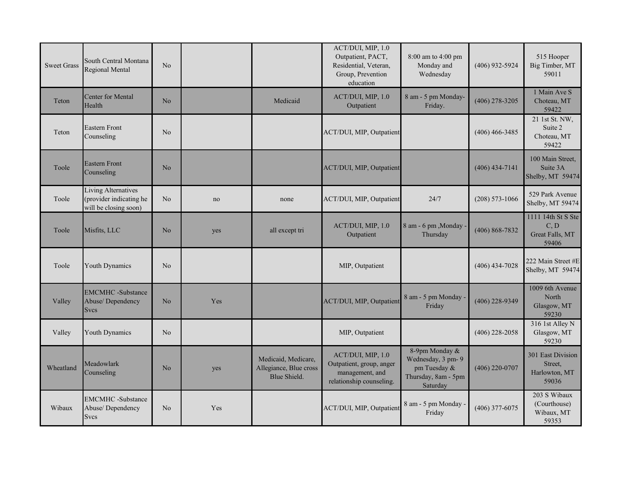| <b>Sweet Grass</b> | South Central Montana<br>Regional Mental                                | N <sub>o</sub> |     |                                                               | ACT/DUI, MIP, 1.0<br>Outpatient, PACT,<br>Residential, Veteran,<br>Group, Prevention<br>education | 8:00 am to 4:00 pm<br>Monday and<br>Wednesday                                           | $(406)$ 932-5924   | 515 Hooper<br>Big Timber, MT<br>59011                  |
|--------------------|-------------------------------------------------------------------------|----------------|-----|---------------------------------------------------------------|---------------------------------------------------------------------------------------------------|-----------------------------------------------------------------------------------------|--------------------|--------------------------------------------------------|
| Teton              | <b>Center for Mental</b><br>Health                                      | No             |     | Medicaid                                                      | ACT/DUI, MIP, 1.0<br>Outpatient                                                                   | 8 am - 5 pm Monday-<br>Friday.                                                          | $(406)$ 278-3205   | 1 Main Ave S<br>Choteau, MT<br>59422                   |
| Teton              | <b>Eastern Front</b><br>Counseling                                      | N <sub>o</sub> |     |                                                               | ACT/DUI, MIP, Outpatient                                                                          |                                                                                         | $(406)$ 466-3485   | 21 1st St. NW,<br>Suite 2<br>Choteau, MT<br>59422      |
| Toole              | <b>Eastern Front</b><br>Counseling                                      | N <sub>o</sub> |     |                                                               | ACT/DUI, MIP, Outpatient                                                                          |                                                                                         | $(406)$ 434-7141   | 100 Main Street.<br>Suite 3A<br>Shelby, MT 59474       |
| Toole              | Living Alternatives<br>(provider indicating he<br>will be closing soon) | N <sub>o</sub> | no  | none                                                          | ACT/DUI, MIP, Outpatient                                                                          | 24/7                                                                                    | $(208) 573 - 1066$ | 529 Park Avenue<br>Shelby, MT 59474                    |
| Toole              | Misfits, LLC                                                            | No             | yes | all except tri                                                | ACT/DUI, MIP, 1.0<br>Outpatient                                                                   | 8 am - 6 pm, Monday<br>Thursday                                                         | $(406) 868 - 7832$ | 1111 14th St S Ste<br>C, D<br>Great Falls, MT<br>59406 |
| Toole              | <b>Youth Dynamics</b>                                                   | N <sub>o</sub> |     |                                                               | MIP, Outpatient                                                                                   |                                                                                         | $(406)$ 434-7028   | 222 Main Street #E<br>Shelby, MT 59474                 |
| Valley             | <b>EMCMHC</b> -Substance<br>Abuse/Dependency<br><b>Svcs</b>             | N <sub>o</sub> | Yes |                                                               | ACT/DUI, MIP, Outpatient                                                                          | 8 am - 5 pm Monday -<br>Friday                                                          | $(406)$ 228-9349   | 1009 6th Avenue<br>North<br>Glasgow, MT<br>59230       |
| Valley             | Youth Dynamics                                                          | N <sub>o</sub> |     |                                                               | MIP, Outpatient                                                                                   |                                                                                         | $(406)$ 228-2058   | 316 1st Alley N<br>Glasgow, MT<br>59230                |
| Wheatland          | Meadowlark<br>Counseling                                                | N <sub>o</sub> | yes | Medicaid, Medicare,<br>Allegiance, Blue cross<br>Blue Shield. | ACT/DUI, MIP, 1.0<br>Outpatient, group, anger<br>management, and<br>relationship counseling.      | 8-9pm Monday &<br>Wednesday, 3 pm- 9<br>pm Tuesday &<br>Thursday, 8am - 5pm<br>Saturday | $(406)$ 220-0707   | 301 East Division<br>Street.<br>Harlowton, MT<br>59036 |
| Wibaux             | <b>EMCMHC</b> -Substance<br>Abuse/Dependency<br><b>Svcs</b>             | N <sub>o</sub> | Yes |                                                               | ACT/DUI, MIP, Outpatient                                                                          | 8 am - 5 pm Monday -<br>Friday                                                          | $(406)$ 377-6075   | 203 S Wibaux<br>(Courthouse)<br>Wibaux, MT<br>59353    |